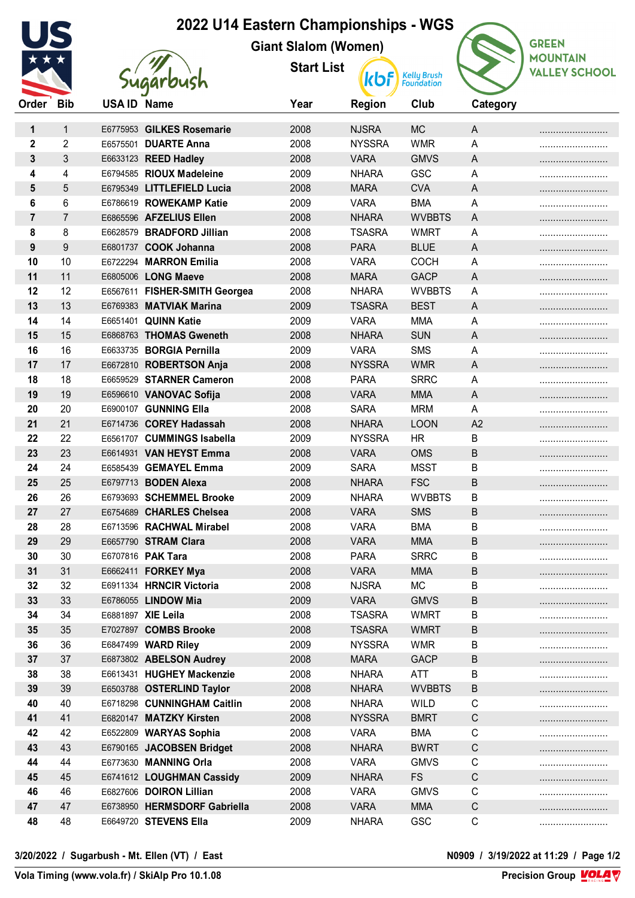| 2022 U14 Eastern Championships - WGS |                |                    |                               |                             |               |                                  |                |                      |  |  |
|--------------------------------------|----------------|--------------------|-------------------------------|-----------------------------|---------------|----------------------------------|----------------|----------------------|--|--|
|                                      |                |                    |                               |                             |               | <b>GREEN</b>                     |                |                      |  |  |
|                                      |                |                    |                               | <b>Giant Slalom (Women)</b> |               |                                  |                | <b>MOUNTAIN</b>      |  |  |
|                                      |                |                    |                               | <b>Start List</b>           | <b>kbf</b>    | <b>Kelly Brush</b><br>Foundation |                | <b>VALLEY SCHOOL</b> |  |  |
|                                      |                |                    | <b>dugarbush</b>              |                             |               |                                  |                |                      |  |  |
| Order                                | <b>Bib</b>     | <b>USA ID Name</b> |                               | Year                        | <b>Region</b> | Club                             | Category       |                      |  |  |
| 1                                    | 1              |                    | E6775953 GILKES Rosemarie     | 2008                        | <b>NJSRA</b>  | <b>MC</b>                        | A              |                      |  |  |
| $\mathbf{2}$                         | $\overline{2}$ |                    | E6575501 DUARTE Anna          | 2008                        | <b>NYSSRA</b> | <b>WMR</b>                       | Α              |                      |  |  |
| 3                                    | 3              |                    | E6633123 REED Hadley          | 2008                        | <b>VARA</b>   | <b>GMVS</b>                      | A              |                      |  |  |
| 4                                    | 4              |                    | E6794585 RIOUX Madeleine      | 2009                        | <b>NHARA</b>  | GSC                              | Α              |                      |  |  |
| 5                                    | 5              |                    | E6795349 LITTLEFIELD Lucia    | 2008                        | <b>MARA</b>   | <b>CVA</b>                       | Α              |                      |  |  |
| 6                                    | 6              |                    | E6786619 ROWEKAMP Katie       | 2009                        | <b>VARA</b>   | <b>BMA</b>                       | A              |                      |  |  |
| $\overline{7}$                       | $\overline{7}$ |                    | E6865596 AFZELIUS Ellen       | 2008                        | <b>NHARA</b>  | <b>WVBBTS</b>                    | A              |                      |  |  |
| 8                                    | 8              |                    | E6628579 BRADFORD Jillian     | 2008                        | <b>TSASRA</b> | <b>WMRT</b>                      | Α              |                      |  |  |
| 9                                    | 9              |                    | E6801737 COOK Johanna         | 2008                        | <b>PARA</b>   | <b>BLUE</b>                      | $\overline{A}$ |                      |  |  |
| 10                                   | 10             |                    | E6722294 MARRON Emilia        | 2008                        | <b>VARA</b>   | <b>COCH</b>                      | Α              |                      |  |  |
| 11                                   | 11             |                    | E6805006 LONG Maeve           | 2008                        | <b>MARA</b>   | <b>GACP</b>                      | A              |                      |  |  |
| 12                                   | 12             |                    | E6567611 FISHER-SMITH Georgea | 2008                        | <b>NHARA</b>  | <b>WVBBTS</b>                    | Α              |                      |  |  |
| 13                                   | 13             |                    | E6769383 MATVIAK Marina       | 2009                        | <b>TSASRA</b> | <b>BEST</b>                      | A              |                      |  |  |
| 14                                   | 14             |                    | E6651401 QUINN Katie          | 2009                        | <b>VARA</b>   | <b>MMA</b>                       | A              |                      |  |  |
| 15                                   | 15             |                    | E6868763 THOMAS Gweneth       | 2008                        | <b>NHARA</b>  | <b>SUN</b>                       | Α              |                      |  |  |
| 16                                   | 16             |                    | E6633735 BORGIA Pernilla      | 2009                        | <b>VARA</b>   | <b>SMS</b>                       | A              |                      |  |  |
| 17                                   | 17             |                    | E6672810 ROBERTSON Anja       | 2008                        | <b>NYSSRA</b> | <b>WMR</b>                       | A              |                      |  |  |
| 18                                   | 18             |                    | E6659529 STARNER Cameron      | 2008                        | <b>PARA</b>   | <b>SRRC</b>                      | Α              |                      |  |  |
| 19                                   | 19             |                    | E6596610 VANOVAC Sofija       | 2008                        | <b>VARA</b>   | <b>MMA</b>                       | A              |                      |  |  |
| 20                                   | 20             |                    | E6900107 GUNNING Ella         | 2008                        | <b>SARA</b>   | <b>MRM</b>                       | A              |                      |  |  |
| 21                                   | 21             |                    | E6714736 COREY Hadassah       | 2008                        | <b>NHARA</b>  | <b>LOON</b>                      | A2             |                      |  |  |
| 22                                   | 22             |                    | E6561707 CUMMINGS Isabella    | 2009                        | <b>NYSSRA</b> | <b>HR</b>                        | B              |                      |  |  |
| 23                                   | 23             |                    | E6614931 VAN HEYST Emma       | 2008                        | <b>VARA</b>   | <b>OMS</b>                       | B              |                      |  |  |
| 24                                   | 24             |                    | E6585439 GEMAYEL Emma         | 2009                        | <b>SARA</b>   | <b>MSST</b>                      | B              |                      |  |  |
| 25                                   | 25             |                    | E6797713 BODEN Alexa          | 2008                        | <b>NHARA</b>  | <b>FSC</b>                       | B              |                      |  |  |
| 26                                   | 26             |                    | E6793693 SCHEMMEL Brooke      | 2009                        | <b>NHARA</b>  | <b>WVBBTS</b>                    | B              |                      |  |  |
| 27                                   | 27             |                    | E6754689 CHARLES Chelsea      | 2008                        | <b>VARA</b>   | <b>SMS</b>                       | B              |                      |  |  |
| 28                                   | 28             |                    | E6713596 RACHWAL Mirabel      | 2008                        | <b>VARA</b>   | <b>BMA</b>                       | B              |                      |  |  |
| 29                                   | 29             |                    | E6657790 STRAM Clara          | 2008                        | <b>VARA</b>   | <b>MMA</b>                       | B              |                      |  |  |
| 30                                   | 30             |                    | E6707816 PAK Tara             | 2008                        | <b>PARA</b>   | <b>SRRC</b>                      | B              |                      |  |  |
| 31                                   | 31             |                    | E6662411 FORKEY Mya           | 2008                        | <b>VARA</b>   | <b>MMA</b>                       | B              |                      |  |  |
| 32                                   | 32             |                    | E6911334 HRNCIR Victoria      | 2008                        | <b>NJSRA</b>  | <b>MC</b>                        | В              |                      |  |  |
| 33                                   | 33             |                    | E6786055 LINDOW Mia           | 2009                        | <b>VARA</b>   | <b>GMVS</b>                      | B              |                      |  |  |
| 34                                   | 34             |                    | E6881897 XIE Leila            | 2008                        | <b>TSASRA</b> | <b>WMRT</b>                      | B              |                      |  |  |
| 35                                   | 35             |                    | E7027897 COMBS Brooke         | 2008                        | <b>TSASRA</b> | <b>WMRT</b>                      | B              |                      |  |  |
| 36                                   | 36             |                    | E6847499 WARD Riley           | 2009                        | <b>NYSSRA</b> | <b>WMR</b>                       | B              |                      |  |  |
| 37                                   | 37             |                    | E6873802 ABELSON Audrey       | 2008                        | <b>MARA</b>   | <b>GACP</b>                      | B              |                      |  |  |
| 38                                   | 38             |                    | E6613431 HUGHEY Mackenzie     | 2008                        | <b>NHARA</b>  | <b>ATT</b>                       | B              |                      |  |  |
| 39                                   | 39             |                    | E6503788 OSTERLIND Taylor     | 2008                        | <b>NHARA</b>  | <b>WVBBTS</b>                    | B              |                      |  |  |
| 40                                   | 40             |                    | E6718298 CUNNINGHAM Caitlin   | 2008                        | <b>NHARA</b>  | <b>WILD</b>                      | С              |                      |  |  |
| 41                                   | 41             |                    | E6820147 MATZKY Kirsten       | 2008                        | <b>NYSSRA</b> | <b>BMRT</b>                      | C              |                      |  |  |
| 42                                   | 42             |                    | E6522809 WARYAS Sophia        | 2008                        | <b>VARA</b>   | <b>BMA</b>                       | C              |                      |  |  |
| 43                                   | 43             |                    | E6790165 JACOBSEN Bridget     | 2008                        | <b>NHARA</b>  | <b>BWRT</b>                      | C              |                      |  |  |
| 44                                   | 44             |                    | E6773630 MANNING Orla         | 2008                        | <b>VARA</b>   | <b>GMVS</b>                      | C              |                      |  |  |
| 45                                   | 45             |                    | E6741612 LOUGHMAN Cassidy     | 2009                        | <b>NHARA</b>  | <b>FS</b>                        | C              |                      |  |  |
| 46                                   | 46             |                    | E6827606 DOIRON Lillian       | 2008                        | <b>VARA</b>   | <b>GMVS</b>                      | $\mathsf C$    |                      |  |  |
| 47                                   | 47             |                    | E6738950 HERMSDORF Gabriella  | 2008                        | <b>VARA</b>   | <b>MMA</b>                       | C              |                      |  |  |
| 48                                   | 48             |                    | E6649720 STEVENS Ella         | 2009                        | <b>NHARA</b>  | GSC                              | C              |                      |  |  |

**Precision Group VOLAV**